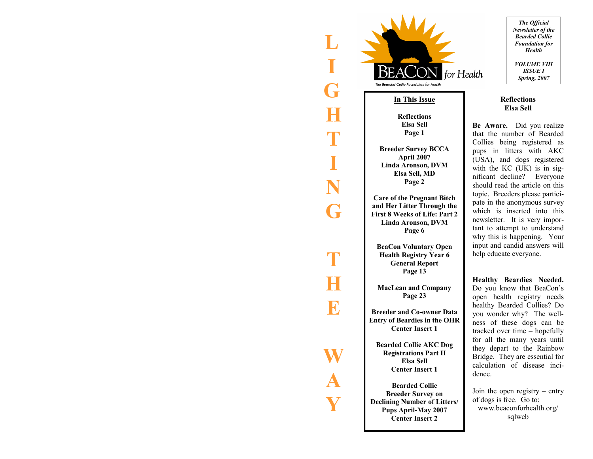

**L** 

**I** 

**G** 

**H** 

**T** 

**I** 

**N** 

**G** 

**T** 

**H** 

**E** 

**W** 

**A** 

**Y** 

#### **In This Issue**

**Reflections Elsa Sell Page 1** 

**Breeder Survey BCCA April 2007 Linda Aronson, DVM Elsa Sell, MD Page 2** 

**Care of the Pregnant Bitch and Her Litter Through the First 8 Weeks of Life: Part 2 Linda Aronson, DVM Page 6** 

**BeaCon Voluntary Open Health Registry Year 6 General Report Page 13** 

**MacLean and Company Page 23** 

**Breeder and Co-owner Data Entry of Beardies in the OHR Center Insert 1** 

**Bearded Collie AKC Dog Registrations Part II Elsa Sell Center Insert 1** 

**Bearded Collie Breeder Survey on Declining Number of Litters/ Pups April-May 2007 Center Insert 2** 

*The Official Newsletter of the Bearded Collie Foundation for Health VOLUME VIII ISSUE I Spring, 2007* 

#### **Reflections Elsa Sell**

**Be Aware.** Did you realize that the number of Bearded Collies being registered as pups in litters with AKC (USA), and dogs registered with the KC (UK) is in significant decline? Everyone should read the article on this topic. Breeders please participate in the anonymous survey which is inserted into this newsletter. It is very important to attempt to understand why this is happening. Your input and candid answers will help educate everyone.

**Healthy Beardies Needed.**  Do you know that BeaCon's open health registry needs healthy Bearded Collies? Do you wonder why? The wellness of these dogs can be tracked over time – hopefully for all the many years until they depart to the Rainbow Bridge. They are essential for calculation of disease incidence.

Join the open registry – entry of dogs is free. Go to: www.beaconforhealth.org/ sqlweb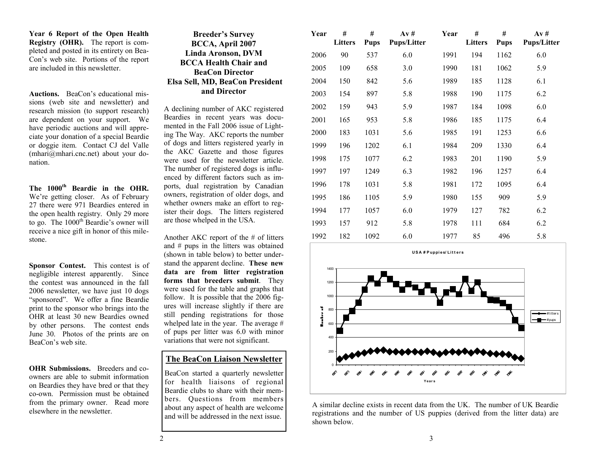**Year 6 Report of the Open Health Registry (OHR).** The report is completed and posted in its entirety on Bea-Con's web site. Portions of the report are included in this newsletter.

**Auctions.** BeaCon's educational missions (web site and newsletter) and research mission (to support research) are dependent on your support. We have periodic auctions and will appreciate your donation of a special Beardie or doggie item. Contact CJ del Valle (mhari@mhari.cnc.net) about your donation.

**The 1000th Beardie in the OHR.** We're getting closer. As of February 27 there were 971 Beardies entered in the open health registry. Only 29 more to go. The 1000<sup>th</sup> Beardie's owner will receive a nice gift in honor of this milestone.

**Sponsor Contest.** This contest is of negligible interest apparently. Since the contest was announced in the fall 2006 newsletter, we have just 10 dogs "sponsored". We offer a fine Beardie print to the sponsor who brings into the OHR at least 30 new Beardies owned by other persons. The contest ends June 30. Photos of the prints are on BeaCon's web site.

**OHR Submissions.** Breeders and coowners are able to submit information on Beardies they have bred or that they co-own. Permission must be obtained from the primary owner. Read more elsewhere in the newsletter.

| <b>Breeder's Survey</b>         |
|---------------------------------|
| BCCA, April 2007                |
| Linda Aronson, DVM              |
| <b>BCCA Health Chair and</b>    |
| <b>BeaCon Director</b>          |
| Elsa Sell, MD, BeaCon President |
| and Director                    |

A declining number of AKC registered Beardies in recent years was documented in the Fall 2006 issue of Lighting The Way. AKC reports the number of dogs and litters registered yearly in the AKC Gazette and those figures were used for the newsletter article. The number of registered dogs is influenced by different factors such as imports, dual registration by Canadian owners, registration of older dogs, and whether owners make an effort to register their dogs. The litters registered are those whelped in the USA.

Another AKC report of the # of litters and # pups in the litters was obtained (shown in table below) to better understand the apparent decline. **These new data are from litter registration forms that breeders submit**. They were used for the table and graphs that follow. It is possible that the 2006 figures will increase slightly if there are still pending registrations for those whelped late in the year. The average # of pups per litter was 6.0 with minor variations that were not significant.

### **The BeaCon Liaison Newsletter**

BeaCon started a quarterly newsletter for health liaisons of regional Beardie clubs to share with their members. Questions from members about any aspect of health are welcome and will be addressed in the next issue.

| Year | #<br>Litters | #<br><b>Pups</b> | Av#<br><b>Pups/Litter</b> | Year | #<br>Litters | #<br><b>Pups</b> | Av#<br><b>Pups/Litter</b> |
|------|--------------|------------------|---------------------------|------|--------------|------------------|---------------------------|
| 2006 | 90           | 537              | 6.0                       | 1991 | 194          | 1162             | 6.0                       |
| 2005 | 109          | 658              | 3.0                       | 1990 | 181          | 1062             | 5.9                       |
| 2004 | 150          | 842              | 5.6                       | 1989 | 185          | 1128             | 6.1                       |
| 2003 | 154          | 897              | 5.8                       | 1988 | 190          | 1175             | 6.2                       |
| 2002 | 159          | 943              | 5.9                       | 1987 | 184          | 1098             | 6.0                       |
| 2001 | 165          | 953              | 5.8                       | 1986 | 185          | 1175             | 6.4                       |
| 2000 | 183          | 1031             | 5.6                       | 1985 | 191          | 1253             | 6.6                       |
| 1999 | 196          | 1202             | 6.1                       | 1984 | 209          | 1330             | 6.4                       |
| 1998 | 175          | 1077             | 6.2                       | 1983 | 201          | 1190             | 5.9                       |
| 1997 | 197          | 1249             | 6.3                       | 1982 | 196          | 1257             | 6.4                       |
| 1996 | 178          | 1031             | 5.8                       | 1981 | 172          | 1095             | 6.4                       |
| 1995 | 186          | 1105             | 5.9                       | 1980 | 155          | 909              | 5.9                       |
| 1994 | 177          | 1057             | 6.0                       | 1979 | 127          | 782              | 6.2                       |
| 1993 | 157          | 912              | 5.8                       | 1978 | 111          | 684              | 6.2                       |
| 1992 | 182          | 1092             | 6.0                       | 1977 | 85           | 496              | 5.8                       |



A similar decline exists in recent data from the UK. The number of UK Beardie registrations and the number of US puppies (derived from the litter data) are shown below.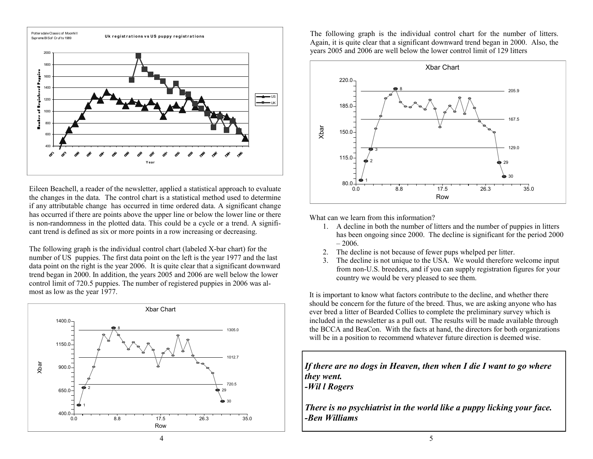

Eileen Beachell, a reader of the newsletter, applied a statistical approach to evaluate the changes in the data. The control chart is a statistical method used to determine if any attributable change has occurred in time ordered data. A significant change has occurred if there are points above the upper line or below the lower line or there is non-randomness in the plotted data. This could be a cycle or a trend. A significant trend is defined as six or more points in a row increasing or decreasing.

The following graph is the individual control chart (labeled X-bar chart) for the number of US puppies. The first data point on the left is the year 1977 and the last data point on the right is the year 2006. It is quite clear that a significant downward trend began in 2000. In addition, the years 2005 and 2006 are well below the lower control limit of 720.5 puppies. The number of registered puppies in 2006 was almost as low as the year 1977.



The following graph is the individual control chart for the number of litters. Again, it is quite clear that a significant downward trend began in 2000. Also, the years 2005 and 2006 are well below the lower control limit of 129 litters



What can we learn from this information?

- 1. A decline in both the number of litters and the number of puppies in litters has been ongoing since 2000. The decline is significant for the period 2000  $-2006.$
- 2. The decline is not because of fewer pups whelped per litter.
- 3. The decline is not unique to the USA. We would therefore welcome input from non-U.S. breeders, and if you can supply registration figures for your country we would be very pleased to see them.

It is important to know what factors contribute to the decline, and whether there should be concern for the future of the breed. Thus, we are asking anyone who has ever bred a litter of Bearded Collies to complete the preliminary survey which is included in the newsletter as a pull out. The results will be made available through the BCCA and BeaCon. With the facts at hand, the directors for both organizations will be in a position to recommend whatever future direction is deemed wise.

*If there are no dogs in Heaven, then when I die I want to go where they went. -Wil l Rogers* 

*There is no psychiatrist in the world like a puppy licking your face. -Ben Williams*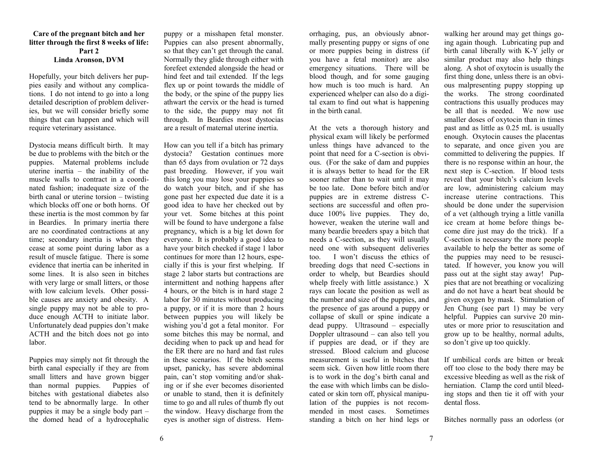#### **Care of the pregnant bitch and her litter through the first 8 weeks of life: Part 2 Linda Aronson, DVM**

Hopefully, your bitch delivers her puppies easily and without any complications. I do not intend to go into a long detailed description of problem deliveries, but we will consider briefly some things that can happen and which will require veterinary assistance.

Dystocia means difficult birth. It may be due to problems with the bitch or the puppies. Maternal problems include uterine inertia – the inability of the muscle walls to contract in a coordinated fashion; inadequate size of the birth canal or uterine torsion – twisting which blocks off one or both horns. Of these inertia is the most common by far in Beardies. In primary inertia there are no coordinated contractions at any time; secondary inertia is when they cease at some point during labor as a result of muscle fatigue. There is some evidence that inertia can be inherited in some lines. It is also seen in bitches with very large or small litters, or those with low calcium levels. Other possible causes are anxiety and obesity. A single puppy may not be able to produce enough ACTH to initiate labor. Unfortunately dead puppies don't make ACTH and the bitch does not go into labor.

Puppies may simply not fit through the birth canal especially if they are from small litters and have grown bigger than normal puppies. Puppies of bitches with gestational diabetes also tend to be abnormally large. In other puppies it may be a single body part – the domed head of a hydrocephalic

puppy or a misshapen fetal monster. Puppies can also present abnormally, so that they can't get through the canal. Normally they glide through either with forefeet extended alongside the head or hind feet and tail extended. If the legs flex up or point towards the middle of the body, or the spine of the puppy lies athwart the cervix or the head is turned to the side, the puppy may not fit through. In Beardies most dystocias are a result of maternal uterine inertia.

How can you tell if a bitch has primary dystocia? Gestation continues more than 65 days from ovulation or 72 days past breeding. However, if you wait this long you may lose your puppies so do watch your bitch, and if she has gone past her expected due date it is a good idea to have her checked out by your vet. Some bitches at this point will be found to have undergone a false pregnancy, which is a big let down for everyone. It is probably a good idea to have your bitch checked if stage 1 labor continues for more than 12 hours, especially if this is your first whelping. If stage 2 labor starts but contractions are intermittent and nothing happens after 4 hours, or the bitch is in hard stage 2 labor for 30 minutes without producing a puppy, or if it is more than 2 hours between puppies you will likely be wishing you'd got a fetal monitor. For some bitches this may be normal, and deciding when to pack up and head for the ER there are no hard and fast rules in these scenarios. If the bitch seems upset, panicky, has severe abdominal pain, can't stop vomiting and/or shaking or if she ever becomes disoriented or unable to stand, then it is definitely time to go and all rules of thumb fly out the window. Heavy discharge from the eyes is another sign of distress. Hemorrhaging, pus, an obviously abnor-<br>mally presenting puppy or signs of one or more puppies being in distress (if you have a fetal monitor) are also emergency situations. There will be blood though, and for some gauging how much is too much is hard. An experienced whelper can also do a digital exa

in the birth canal.<br>At the vets a thorough history and physical exam will likely be performed unless things have advanced to the point that need for a C-section is obvious. (For the sake of dam and puppies it is always better to head for the ER sooner rather than to wait until it may be too late. Done before bitch and/or puppies are in extreme distress C sections are successful and often pro duce 100% live puppies. They do,<br>however, weaken the uterine wall and<br>many beardie breeders spay a bitch that<br>needs a C-section, as they will usually<br>need one with subsequent deliveries<br>too. I won't discuss the ethics of<br>b the ease with which limbs can be dislocated or skin torn off, physical manipu lation of the puppies is not recom-

orthaging, puts, an obviously about walking her around may get things go-<br>or or or or papies being in distress (if byith cand liberally with KN in july or storing pupy or signs of one ing again though. I abricating pupy a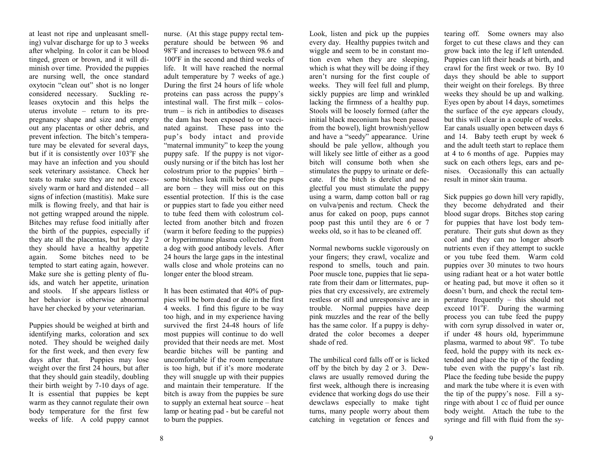at least not ripe and unpleasant smelling) vulvar discharge for up to 3 weeks after whelping. In color it can be blood tinged, green or brown, and it will diminish over time. Provided the puppies are nursing well, the once standard oxytocin "clean out" shot is no longer considered necessary. Suckling releases oxytocin and this helps the uterus involute – return to its prepregnancy shape and size and empty out any placentas or other debris, and prevent infection. The bitch's temperature may be elevated for several days, but if it is consistently over  $103^{\circ}$ F she may have an infection and you should seek veterinary assistance. Check her teats to make sure they are not excessively warm or hard and distended – all signs of infection (mastitis). Make sure milk is flowing freely, and that hair is not getting wrapped around the nipple. Bitches may refuse food initially after the birth of the puppies, especially if they ate all the placentas, but by day 2 they should have a healthy appetite again. Some bitches need to be tempted to start eating again, however. Make sure she is getting plenty of fluids, and watch her appetite, urination and stools. If she appears listless or her behavior is otherwise abnormal have her checked by your veterinarian.

Puppies should be weighed at birth and identifying marks, coloration and sex noted. They should be weighed daily for the first week, and then every few days after that. Puppies may lose weight over the first 24 hours, but after that they should gain steadily, doubling their birth weight by 7-10 days of age. It is essential that puppies be kept warm as they cannot regulate their own body temperature for the first few weeks of life. A cold puppy cannot

nurse. (At this stage puppy rectal temperature should be between 96 and 98<sup>o</sup>F and increases to between 98.6 and  $100^{\circ}$ F in the second and third weeks of life. It will have reached the normal adult temperature by 7 weeks of age.) During the first 24 hours of life whole proteins can pass across the puppy's intestinal wall. The first milk – colostrum – is rich in antibodies to diseases the dam has been exposed to or vaccinated against. These pass into the pup's body intact and provide "maternal immunity" to keep the young puppy safe. If the puppy is not vigorously nursing or if the bitch has lost her colostrum prior to the puppies' birth – some bitches leak milk before the pups are born – they will miss out on this essential protection. If this is the case or puppies start to fade you either need to tube feed them with colostrum collected from another bitch and frozen (warm it before feeding to the puppies) or hyperimmune plasma collected from a dog with good antibody levels. After 24 hours the large gaps in the intestinal walls close and whole proteins can no longer enter the blood stream.

It has been estimated that 40% of puppies will be born dead or die in the first 4 weeks. I find this figure to be way too high, and in my experience having survived the first 24-48 hours of life most puppies will continue to do well provided that their needs are met. Most beardie bitches will be panting and uncomfortable if the room temperature is too high, but if it's more moderate they will snuggle up with their puppies and maintain their temperature. If the bitch is away from the puppies be sure to supply an external heat source – heat lamp or heating pad - but be careful not to burn the puppies.

Look, listen and pick up the puppies every day. Healthy puppies twitch and wiggle and seem to be in constant motion even when they are sleeping, which is what they will be doing if they aren't nursing for the first couple of weeks. They will feel full and plump, sickly puppies are limp and wrinkled lacking the firmness of a healthy pup. Stools will be loosely formed (after the initial black meconium has been passed from the bowel), light brownish/yellow and have a "seedy" appearance. Urine should be pale yellow, although you will likely see little of either as a good bitch will consume both when she stimulates the puppy to urinate or defecate. If the bitch is derelict and neglectful you must stimulate the puppy using a warm, damp cotton ball or rag on vulva/penis and rectum. Check the anus for caked on poop, pups cannot poop past this until they are 6 or 7 weeks old, so it has to be cleaned off.

Normal newborns suckle vigorously on your fingers; they crawl, vocalize and respond to smells, touch and pain. Poor muscle tone, puppies that lie separate from their dam or littermates, puppies that cry excessively, are extremely restless or still and unresponsive are in trouble. Normal puppies have deep pink muzzles and the rear of the belly has the same color. If a puppy is dehydrated the color becomes a deeper shade of red.

The umbilical cord falls off or is licked off by the bitch by day 2 or 3. Dewclaws are usually removed during the first week, although there is increasing evidence that working dogs do use their dewclaws especially to make tight turns, many people worry about them catching in vegetation or fences and

tearing off. Some owners may also forget to cut these claws and they can grow back into the leg if left untended. Puppies can lift their heads at birth, and crawl for the first week or two. By 10 days they should be able to support their weight on their forelegs. By three weeks they should be up and walking. Eyes open by about 14 days, sometimes the surface of the eye appears cloudy, but this will clear in a couple of weeks. Ear canals usually open between days 6 and 14. Baby teeth erupt by week 6 and the adult teeth start to replace them at 4 to 6 months of age. Puppies may suck on each others legs, ears and penises. Occasionally this can actually result in minor skin trauma.

Sick puppies go down hill very rapidly, they become dehydrated and their blood sugar drops. Bitches stop caring for puppies that have lost body temperature. Their guts shut down as they cool and they can no longer absorb nutrients even if they attempt to suckle or you tube feed them. Warm cold puppies over 30 minutes to two hours using radiant heat or a hot water bottle or heating pad, but move it often so it doesn't burn, and check the rectal temperature frequently – this should not exceed  $101^{\circ}$ F. During the warming process you can tube feed the puppy with corn syrup dissolved in water or, if under 48 hours old, hyperimmune plasma, warmed to about  $98^\circ$ . To tube feed, hold the puppy with its neck extended and place the tip of the feeding tube even with the puppy's last rib. Place the feeding tube beside the puppy and mark the tube where it is even with the tip of the puppy's nose. Fill a syringe with about 1 cc of fluid per ounce body weight. Attach the tube to the syringe and fill with fluid from the sy-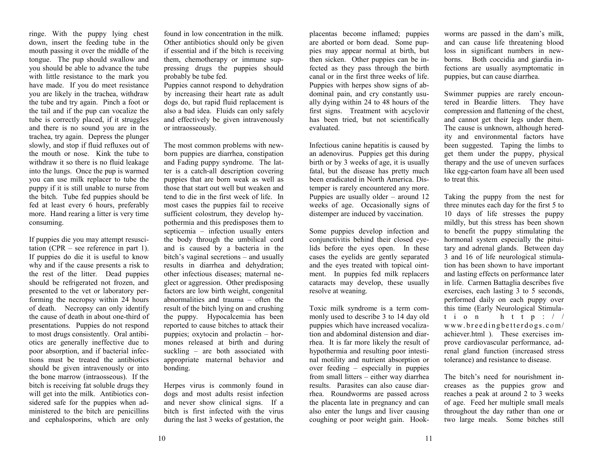ringe. With the puppy lying chest down, insert the feeding tube in the mouth passing it over the middle of the tongue. The pup should swallow and you should be able to advance the tube with little resistance to the mark you have made. If you do meet resistance you are likely in the trachea, withdraw the tube and try again. Pinch a foot or the tail and if the pup can vocalize the tube is correctly placed, if it struggles and there is no sound you are in the trachea, try again. Depress the plunger slowly, and stop if fluid refluxes out of the mouth or nose. Kink the tube to withdraw it so there is no fluid leakage into the lungs. Once the pup is warmed you can use milk replacer to tube the puppy if it is still unable to nurse from the bitch. Tube fed puppies should be fed at least every 6 hours, preferably more. Hand rearing a litter is very time consuming.

If puppies die you may attempt resuscitation (CPR – see reference in part 1). If puppies do die it is useful to know why and if the cause presents a risk to the rest of the litter. Dead puppies should be refrigerated not frozen, and presented to the vet or laboratory performing the necropsy within 24 hours of death. Necropsy can only identify the cause of death in about one-third of presentations. Puppies do not respond to most drugs consistently. Oral antibiotics are generally ineffective due to poor absorption, and if bacterial infections must be treated the antibiotics should be given intravenously or into the bone marrow (intraosseous). If the bitch is receiving fat soluble drugs they will get into the milk. Antibiotics considered safe for the puppies when administered to the bitch are penicillins and cephalosporins, which are only

found in low concentration in the milk. Other antibiotics should only be given if essential and if the bitch is receiving them, chemotherapy or immune suppressing drugs the puppies should probably be tube fed.

Puppies cannot respond to dehydration by increasing their heart rate as adult dogs do, but rapid fluid replacement is also a bad idea. Fluids can only safely and effectively be given intravenously or intraosseously.

The most common problems with newborn puppies are diarrhea, constipation and Fading puppy syndrome. The latter is a catch-all description covering puppies that are born weak as well as those that start out well but weaken and tend to die in the first week of life. In most cases the puppies fail to receive sufficient colostrum, they develop hypothermia and this predisposes them to septicemia – infection usually enters the body through the umbilical cord and is caused by a bacteria in the bitch's vaginal secretions – and usually results in diarrhea and dehydration; other infectious diseases; maternal neglect or aggression. Other predisposing factors are low birth weight, congenital abnormalities and trauma – often the result of the bitch lying on and crushing the puppy. Hypocalcemia has been reported to cause bitches to attack their puppies; oxytocin and prolactin – hormones released at birth and during suckling – are both associated with appropriate maternal behavior and bonding.

Herpes virus is commonly found in dogs and most adults resist infection and never show clinical signs. If a bitch is first infected with the virus during the last 3 weeks of gestation, the

placentas become inflamed; puppies are aborted or born dead. Some puppies may appear normal at birth, but then sicken. Other puppies can be infected as they pass through the birth canal or in the first three weeks of life. Puppies with herpes show signs of abdominal pain, and cry constantly usually dying within 24 to 48 hours of the first signs. Treatment with acyclovir has been tried, but not scientifically evaluated.

Infectious canine hepatitis is caused by an adenovirus. Puppies get this during birth or by 3 weeks of age, it is usually fatal, but the disease has pretty much been eradicated in North America. Distemper is rarely encountered any more. Puppies are usually older – around 12 weeks of age. Occasionally signs of distemper are induced by vaccination.

Some puppies develop infection and conjunctivitis behind their closed eyelids before the eyes open. In these cases the eyelids are gently separated and the eyes treated with topical ointment. In puppies fed milk replacers cataracts may develop, these usually resolve at weaning.

Toxic milk syndrome is a term commonly used to describe 3 to 14 day old puppies which have increased vocalization and abdominal distension and diarrhea. It is far more likely the result of hypothermia and resulting poor intestinal motility and nutrient absorption or over feeding – especially in puppies from small litters – either way diarrhea results. Parasites can also cause diarrhea. Roundworms are passed across the placenta late in pregnancy and can also enter the lungs and liver causing coughing or poor weight gain. Hookworms are passed in the dam's milk, and can cause life threatening blood loss in significant numbers in new borns. Both coccidia and giardia in-<br>fections are usually asymptomatic in

puppies, but can cause diarrhea.<br>
Swimmer puppies are rarely encoun-<br>
tered in Beardie litters. They have compression and flattening of the chest, and cannot get their legs under them.<br>The cause is unknown, although hered-<br>ity and environmental factors have

ity and environmental factors have<br>been suggested. Taping the limbs to<br>get them under the puppy, physical<br>therapy and the use of uneven surfaces<br>like egg-carton foam have all been used<br>to treat this.<br>Taking the puppy from tary and adrenal glands. Between day 3 and 16 of life neurological stimula and lasting effects on performance later<br>in life. Carmen Battaglia describes five<br>exercises, each lasting 3 to 5 seconds,<br>performed daily on each puppy over<br>this time (Early Neurological Stimulation http:// www.breedingbetterdogs.com/ achiever.html ). These exercises im prove cardiovascular performance, ad renal gland function (increased stress tolerance) and resistance to disease. The bitch's need for nourishment in-

creases as the puppies grow and reaches a peak at around 2 to 3 weeks of age. Feed her multiple small meals throughout the day rather than one or two large meals. Some bitches still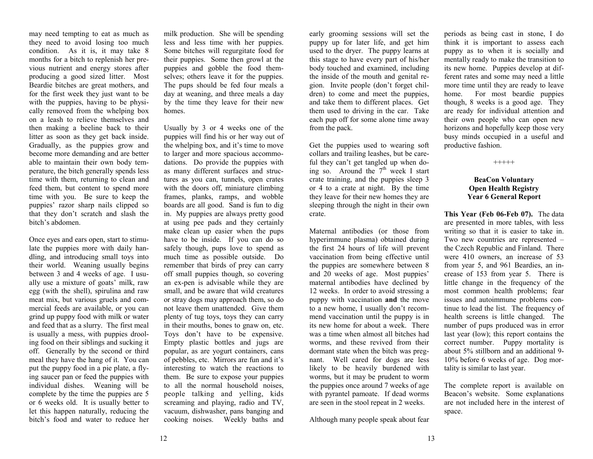may need tempting to eat as much as they need to avoid losing too much condition. As it is, it may take 8 months for a bitch to replenish her previous nutrient and energy stores after producing a good sized litter. Most Beardie bitches are great mothers, and for the first week they just want to be with the puppies, having to be physically removed from the whelping box on a leash to relieve themselves and then making a beeline back to their litter as soon as they get back inside. Gradually, as the puppies grow and become more demanding and are better able to maintain their own body temperature, the bitch generally spends less time with them, returning to clean and feed them, but content to spend more time with you. Be sure to keep the puppies' razor sharp nails clipped so that they don't scratch and slash the bitch's abdomen.

Once eyes and ears open, start to stimulate the puppies more with daily handling, and introducing small toys into their world. Weaning usually begins between 3 and 4 weeks of age. I usually use a mixture of goats' milk, raw egg (with the shell), spirulina and raw meat mix, but various gruels and commercial feeds are available, or you can grind up puppy food with milk or water and feed that as a slurry. The first meal is usually a mess, with puppies drooling food on their siblings and sucking it off. Generally by the second or third meal they have the hang of it. You can put the puppy food in a pie plate, a flying saucer pan or feed the puppies with individual dishes. Weaning will be complete by the time the puppies are 5 or 6 weeks old. It is usually better to let this happen naturally, reducing the bitch's food and water to reduce her

milk production. She will be spending less and less time with her puppies. Some bitches will regurgitate food for their puppies. Some then growl at the puppies and gobble the food themselves; others leave it for the puppies. The pups should be fed four meals a day at weaning, and three meals a day by the time they leave for their new homes.

Usually by 3 or 4 weeks one of the puppies will find his or her way out of the whelping box, and it's time to move to larger and more spacious accommodations. Do provide the puppies with as many different surfaces and structures as you can, tunnels, open crates with the doors off, miniature climbing frames, planks, ramps, and wobble boards are all good. Sand is fun to dig in. My puppies are always pretty good at using pee pads and they certainly make clean up easier when the pups have to be inside. If you can do so safely though, pups love to spend as much time as possible outside. Do remember that birds of prey can carry off small puppies though, so covering an ex-pen is advisable while they are small, and be aware that wild creatures or stray dogs may approach them, so do not leave them unattended. Give them plenty of tug toys, toys they can carry in their mouths, bones to gnaw on, etc. Toys don't have to be expensive. Empty plastic bottles and jugs are popular, as are yogurt containers, cans of pebbles, etc. Mirrors are fun and it's interesting to watch the reactions to them. Be sure to expose your puppies to all the normal household noises, people talking and yelling, kids screaming and playing, radio and TV, vacuum, dishwasher, pans banging and cooking noises. Weekly baths and

early grooming sessions will set the puppy up for later life, and get him used to the dryer. The puppy learns at this stage to have every part of his/her body touched and examined, including the inside of the mouth and genital region. Invite people (don't forget children) to come and meet the puppies, and take them to different places. Get them used to driving in the car. Take each pup off for some alone time away from the pack.

Get the puppies used to wearing soft collars and trailing leashes, but be careful they can't get tangled up when doing so. Around the  $7<sup>th</sup>$  week I start crate training, and the puppies sleep 3 or 4 to a crate at night. By the time they leave for their new homes they are sleeping through the night in their own crate.

Maternal antibodies (or those from hyperimmune plasma) obtained during the first 24 hours of life will prevent vaccination from being effective until the puppies are somewhere between 8 and 20 weeks of age. Most puppies' maternal antibodies have declined by 12 weeks. In order to avoid stressing a puppy with vaccination **and** the move to a new home, I usually don't recommend vaccination until the puppy is in its new home for about a week. There was a time when almost all bitches had worms, and these revived from their dormant state when the bitch was pregnant. Well cared for dogs are less likely to be heavily burdened with worms, but it may be prudent to worm the puppies once around 7 weeks of age with pyrantel pamoate. If dead worms are seen in the stool repeat in 2 weeks.

Although many people speak about fear

periods as being cast in stone, I do think it is important to assess each puppy as to when it is socially and mentally ready to make the transition to its new home. Puppies develop at different rates and some may need a little more time until they are ready to leave home. For most beardie puppies though, 8 weeks is a good age. They are ready for individual attention and their own people who can open new horizons and hopefully keep those very busy minds occupied in a useful and productive fashion.

+++++

### **BeaCon Voluntary Open Health Registry Year 6 General Report**

**This Year (Feb 06-Feb 07).** The data are presented in more tables, with less writing so that it is easier to take in. Two new countries are represented – the Czech Republic and Finland. There were 410 owners, an increase of 53 from year 5, and 961 Beardies, an increase of 153 from year 5. There is little change in the frequency of the most common health problems; fear issues and autoimmune problems continue to lead the list. The frequency of health screens is little changed. The number of pups produced was in error last year (low); this report contains the correct number. Puppy mortality is about 5% stillborn and an additional 9-10% before 6 weeks of age. Dog mortality is similar to last year.

The complete report is available on Beacon's website. Some explanations are not included here in the interest of space.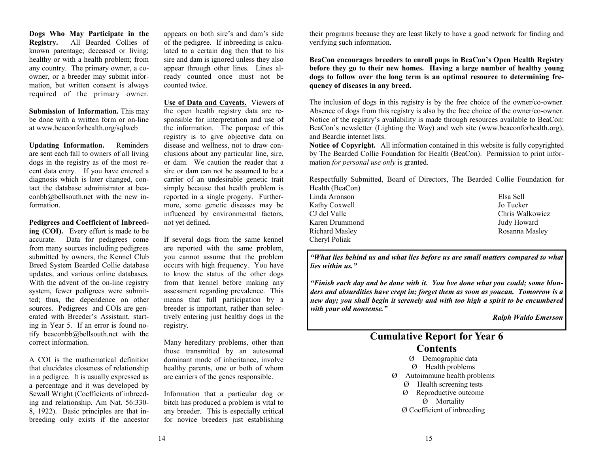**Dogs Who May Participate in the Registry.** All Bearded Collies of known parentage; deceased or living; healthy or with a health problem; from any country. The primary owner, a coowner, or a breeder may submit information, but written consent is always required of the primary owner.

**Submission of Information.** This may be done with a written form or on-line at www.beaconforhealth.org/sqlweb

**Updating Information.** Reminders are sent each fall to owners of all living dogs in the registry as of the most recent data entry. If you have entered a diagnosis which is later changed, contact the database administrator at beaconbb@bellsouth.net with the new information.

**Pedigrees and Coefficient of Inbreeding (COI).** Every effort is made to be accurate. Data for pedigrees come from many sources including pedigrees submitted by owners, the Kennel Club Breed System Bearded Collie database updates, and various online databases. With the advent of the on-line registry system, fewer pedigrees were submitted; thus, the dependence on other sources. Pedigrees and COIs are generated with Breeder's Assistant, starting in Year 5. If an error is found notify beaconbb@bellsouth.net with the correct information.

A COI is the mathematical definition that elucidates closeness of relationship in a pedigree. It is usually expressed as a percentage and it was developed by Sewall Wright (Coefficients of inbreeding and relationship. Am Nat. 56:330- 8, 1922). Basic principles are that inbreeding only exists if the ancestor

appears on both sire's and dam's side of the pedigree. If inbreeding is calculated to a certain dog then that to his sire and dam is ignored unless they also appear through other lines. Lines already counted once must not be counted twice.

**Use of Data and Caveats.** Viewers of the open health registry data are responsible for interpretation and use of the information. The purpose of this registry is to give objective data on disease and wellness, not to draw conclusions about any particular line, sire, or dam. We caution the reader that a sire or dam can not be assumed to be a carrier of an undesirable genetic trait simply because that health problem is reported in a single progeny. Furthermore, some genetic diseases may be influenced by environmental factors, not yet defined.

If several dogs from the same kennel are reported with the same problem, you cannot assume that the problem occurs with high frequency. You have to know the status of the other dogs from that kennel before making any assessment regarding prevalence. This means that full participation by a breeder is important, rather than selectively entering just healthy dogs in the registry.

Many hereditary problems, other than those transmitted by an autosomal dominant mode of inheritance, involve healthy parents, one or both of whom are carriers of the genes responsible.

Information that a particular dog or bitch has produced a problem is vital to any breeder. This is especially critical for novice breeders just establishing

their programs because they are least likely to have a good network for finding and verifying such information.

**BeaCon encourages breeders to enroll pups in BeaCon's Open Health Registry before they go to their new homes. Having a large number of healthy young dogs to follow over the long term is an optimal resource to determining frequency of diseases in any breed.** 

The inclusion of dogs in this registry is by the free choice of the owner/co-owner. Absence of dogs from this registry is also by the free choice of the owner/co-owner. Notice of the registry's availability is made through resources available to BeaCon: BeaCon's newsletter (Lighting the Way) and web site (www.beaconforhealth.org), and Beardie internet lists.

**Notice of Copyright.** All information contained in this website is fully copyrighted by The Bearded Collie Foundation for Health (BeaCon). Permission to print information *for personal use only* is granted.

Respectfully Submitted, Board of Directors, The Bearded Collie Foundation for Health (BeaCon)

- Linda Aronson Elsa Sell Kathy Coxwell Jo Tucker CJ del Valle Chris Walkowicz Karen Drummond Judy Howard Richard Masley **Rosanna Masley** Rosanna Masley Cheryl Poliak
	-

*"What lies behind us and what lies before us are small matters compared to what lies within us."* 

*"Finish each day and be done with it. You hve done what you could; some blunders and absurdities have crept in; forget them as soon as youcan. Tomorrow is a new day; you shall begin it serenely and with too high a spirit to be encumbered with your old nonsense."* 

*Ralph Waldo Emerson* 

## **Cumulative Report for Year 6 Contents** Ø Demographic data

- Ø Health problems
- Ø Autoimmune health problems
	- Ø Health screening tests
	- Ø Reproductive outcome

Ø Mortality

Ø Coefficient of inbreeding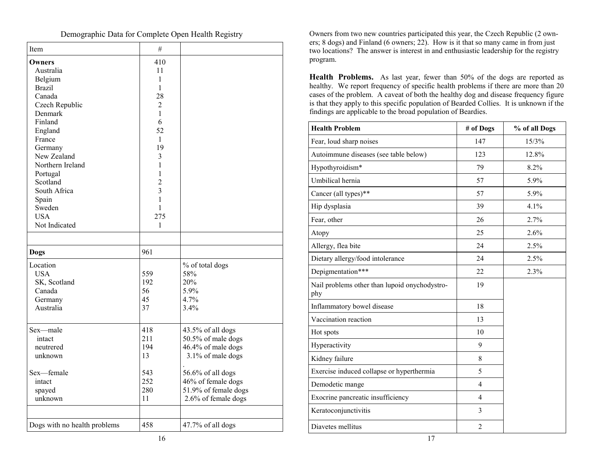| Item                         | #              |                      |
|------------------------------|----------------|----------------------|
| Owners                       | 410            |                      |
| Australia                    | 11             |                      |
| Belgium                      | $\mathbf{1}$   |                      |
| <b>Brazil</b>                | 1              |                      |
| Canada                       | 28             |                      |
| Czech Republic               | $\overline{2}$ |                      |
| Denmark                      | 1              |                      |
| Finland                      | 6              |                      |
| England                      | 52             |                      |
| France                       | 1              |                      |
| Germany                      | 19             |                      |
| New Zealand                  | 3              |                      |
| Northern Ireland             | $\mathbf{1}$   |                      |
| Portugal                     | 1              |                      |
| Scotland                     | $\overline{2}$ |                      |
| South Africa                 | $\overline{3}$ |                      |
| Spain                        | $\mathbf{1}$   |                      |
| Sweden                       | $\mathbf{1}$   |                      |
| <b>USA</b>                   | 275            |                      |
| Not Indicated                | $\mathbf{1}$   |                      |
|                              |                |                      |
| <b>Dogs</b>                  | 961            |                      |
| Location                     |                | % of total dogs      |
| <b>USA</b>                   | 559            | 58%                  |
| SK, Scotland                 | 192            | 20%                  |
| Canada                       | 56             | 5.9%                 |
| Germany                      | 45             | 4.7%                 |
| Australia                    | 37             | 3.4%                 |
| Sex-male                     | 418            | 43.5% of all dogs    |
| intact                       | 211            | 50.5% of male dogs   |
| neutrered                    | 194            | 46.4% of male dogs   |
| unknown                      | 13             | 3.1% of male dogs    |
|                              |                |                      |
| Sex-female                   | 543            | 56.6% of all dogs    |
| intact                       | 252            | 46% of female dogs   |
| spayed                       | 280            | 51.9% of female dogs |
| unknown                      | 11             | 2.6% of female dogs  |
|                              |                |                      |
| Dogs with no health problems | 458            | 47.7% of all dogs    |

Demographic Data for Complete Open Health Registry

┑

 $\Gamma$ 

Owners from two new countries participated this year, the Czech Republic (2 owners; 8 dogs) and Finland (6 owners; 22). How is it that so many came in from just two locations? The answer is interest in and enthusiastic leadership for the registry program.

**Health Problems.** As last year, fewer than 50% of the dogs are reported as healthy. We report frequency of specific health problems if there are more than 20 cases of the problem. A caveat of both the healthy dog and disease frequency figure is that they apply to this specific population of Bearded Collies. It is unknown if the findings are applicable to the broad population of Beardies.

| Finland<br>England           | $\sigma$<br>52 |                                            | <b>Health Problem</b>                                | # of Dogs      | % of all Dogs |
|------------------------------|----------------|--------------------------------------------|------------------------------------------------------|----------------|---------------|
| France                       | 1              |                                            | Fear, loud sharp noises                              | 147            | 15/3%         |
| Germany<br>New Zealand       | 19<br>3        |                                            | Autoimmune diseases (see table below)                | 123            | 12.8%         |
| Northern Ireland             |                |                                            | Hypothyroidism*                                      | 79             | 8.2%          |
| Portugal<br>Scotland         | $\overline{c}$ |                                            | Umbilical hernia                                     | 57             | 5.9%          |
| South Africa                 | $\overline{3}$ |                                            | Cancer (all types)**                                 | 57             | 5.9%          |
| Spain<br>Sweden              |                |                                            | Hip dysplasia                                        | 39             | 4.1%          |
| <b>USA</b>                   | 275            |                                            | Fear, other                                          | 26             | 2.7%          |
| Not Indicated                | $\mathbf{1}$   |                                            | Atopy                                                | 25             | 2.6%          |
|                              |                |                                            | Allergy, flea bite                                   | 24             | 2.5%          |
| Dogs                         | 961            |                                            | Dietary allergy/food intolerance                     | 24             | 2.5%          |
| Location<br><b>USA</b>       | 559            | % of total dogs<br>58%                     | Depigmentation***                                    | 22             | 2.3%          |
| SK, Scotland<br>Canada       | 192<br>56      | 20%<br>5.9%                                | Nail problems other than lupoid onychodystro-<br>phy | 19             |               |
| Germany<br>Australia         | 45<br>37       | 4.7%<br>3.4%                               | Inflammatory bowel disease                           | 18             |               |
|                              |                |                                            | Vaccination reaction                                 | 13             |               |
| Sex-male                     | 418            | 43.5% of all dogs                          | Hot spots                                            | 10             |               |
| intact<br>neutrered          | 211<br>194     | 50.5% of male dogs<br>46.4% of male dogs   | Hyperactivity                                        | 9              |               |
| unknown                      | 13             | 3.1% of male dogs                          | Kidney failure                                       | $8\,$          |               |
| Sex-female                   | 543            | 56.6% of all dogs                          | Exercise induced collapse or hyperthermia            | 5              |               |
| intact                       | 252            | 46% of female dogs<br>51.9% of female dogs | Demodetic mange                                      | $\overline{4}$ |               |
| spayed<br>unknown            | 280<br>11      | 2.6% of female dogs                        | Exocrine pancreatic insufficiency                    | $\overline{4}$ |               |
|                              |                |                                            | Keratoconjunctivitis                                 | $\overline{3}$ |               |
| Dogs with no health problems | 458            | 47.7% of all dogs                          | Diavetes mellitus                                    | $\overline{2}$ |               |
|                              | 16             |                                            | 17                                                   |                |               |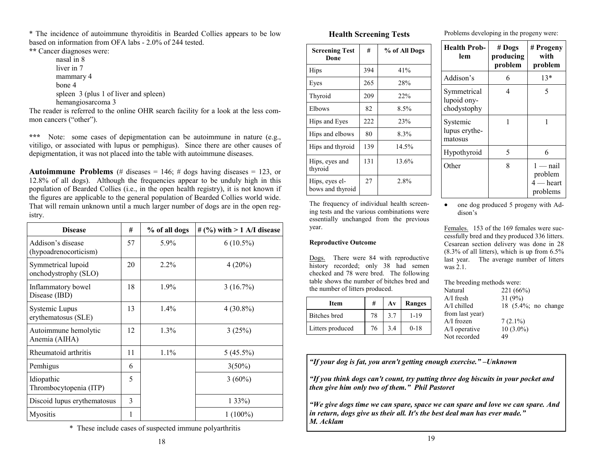\* The incidence of autoimmune thyroiditis in Bearded Collies appears to be low based on information from OFA labs - 2.0% of 244 tested.

**\*\*** Cancer diagnoses were:

nasal in 8 liver in 7 mammary 4 bone 4 spleen 3 (plus 1 of liver and spleen) hemangiosarcoma 3

The reader is referred to the online OHR search facility for a look at the less common cancers ("other").

**\*\*\*** Note: some cases of depigmentation can be autoimmune in nature (e.g., vitiligo, or associated with lupus or pemphigus). Since there are other causes of depigmentation, it was not placed into the table with autoimmune diseases.

**Autoimmune Problems** (# diseases  $= 146$ ; # dogs having diseases  $= 123$ , or 12.8% of all dogs). Although the frequencies appear to be unduly high in this population of Bearded Collies (i.e., in the open health registry), it is not known if the figures are applicable to the general population of Bearded Collies world wide. That will remain unknown until a much larger number of dogs are in the open registry.

| <b>Disease</b>                               | #  | % of all dogs | # $(%)$ with > 1 A/I disease |
|----------------------------------------------|----|---------------|------------------------------|
| Addison's disease<br>(hypoadrenocorticism)   | 57 | $5.9\%$       | $6(10.5\%)$                  |
| Symmetrical lupoid<br>onchodystrophy (SLO)   | 20 | $2.2\%$       | $4(20\%)$                    |
| Inflammatory bowel<br>Disease (IBD)          | 18 | 1.9%          | 3(16.7%)                     |
| <b>Systemic Lupus</b><br>erythematosus (SLE) | 13 | $1.4\%$       | $4(30.8\%)$                  |
| Autoimmune hemolytic<br>Anemia (AIHA)        | 12 | 1.3%          | 3(25%)                       |
| Rheumatoid arthritis                         | 11 | $1.1\%$       | $5(45.5\%)$                  |
| Pemhigus                                     | 6  |               | $3(50\%)$                    |
| Idiopathic<br>Thrombocytopenia (ITP)         | 5  |               | $3(60\%)$                    |
| Discoid lupus erythematosus                  | 3  |               | $133\%)$                     |
| Myositis                                     | 1  |               | $1(100\%)$                   |

\* These include cases of suspected immune polyarthritis

### **Health Screening Tests**

| <b>Screening Test</b><br>Done      | #   | % of All Dogs |
|------------------------------------|-----|---------------|
| Hips                               | 394 | 41%           |
| Eyes                               | 265 | 28%           |
| Thyroid                            | 209 | <b>22%</b>    |
| Elbows                             | 82  | 8.5%          |
| Hips and Eyes                      | 222 | 23%           |
| Hips and elbows                    | 80  | 8.3%          |
| Hips and thyroid                   | 139 | 14.5%         |
| Hips, eyes and<br>thyroid          | 131 | 13.6%         |
| Hips, eyes el-<br>bows and thyroid | 27  | 2.8%          |

The frequency of individual health screening tests and the various combinations were essentially unchanged from the previous year.

### **Reproductive Outcome**

Dogs. There were 84 with reproductive history recorded; only 38 had semen checked and 78 were bred. The following table shows the number of bitches bred and the number of litters produced.

| Item             | #  | $A\mathbf{v}$ | Ranges   |
|------------------|----|---------------|----------|
| Bitches bred     | 78 | 37            | 1-19     |
| Litters produced | 76 | 3.4           | $0 - 18$ |

Problems developing in the progeny were:

| <b>Health Prob-</b><br>lem                | $#$ Dogs<br>producing<br>problem | # Progeny<br>with<br>problem                     |
|-------------------------------------------|----------------------------------|--------------------------------------------------|
| Addison's                                 | 6                                | $13*$                                            |
| Symmetrical<br>lupoid ony-<br>chodystophy | 4                                | 5                                                |
| Systemic<br>lupus erythe-<br>matosus      | 1                                |                                                  |
| Hypothyroid                               | 5                                | 6                                                |
| Other                                     | 8                                | $1 -$ nail<br>problem<br>$4$ — heart<br>problems |

• one dog produced 5 progeny with Addison's

Females. 153 of the 169 females were successfully bred and they produced 336 litters. Cesarean section delivery was done in 28 (8.3% of all litters), which is up from 6.5% last year. The average number of litters was 2.1.

The breeding methods were:

| Natural         | 221(66%)            |  |
|-----------------|---------------------|--|
| $A/I$ fresh     | 31(9%)              |  |
| $A/I$ chilled   | 18 (5.4%; no change |  |
| from last year) |                     |  |
| $A/I$ frozen    | $7(2.1\%)$          |  |
| $A/I$ operative | $10(3.0\%)$         |  |
| Not recorded    | 49                  |  |
|                 |                     |  |

*"If your dog is fat, you aren't getting enough exercise." –Unknown* 

*"If you think dogs can't count, try putting three dog biscuits in your pocket and then give him only two of them." Phil Pastoret* 

*"We give dogs time we can spare, space we can spare and love we can spare. And in return, dogs give us their all. It's the best deal man has ever made." M. Acklam*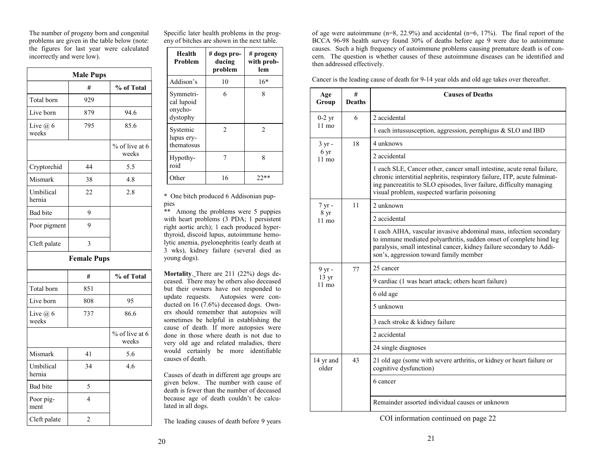The number of progeny born and congenital problems are given in the table below (note: the figures for last year were calculated incorrectly and were low).

|                       | <b>Male Pups</b>   |                         |
|-----------------------|--------------------|-------------------------|
|                       | #                  | % of Total              |
| Total born            | 929                |                         |
| Live born             | 879                | 94.6                    |
| Live $(a)$ 6<br>weeks | 795                | 85.6                    |
|                       |                    | % of live at 6<br>weeks |
| Cryptorchid           | 44                 | 5.5                     |
| Mismark               | 38                 | 4.8                     |
| Umbilical<br>hernia   | 22                 | 2.8                     |
| <b>Bad</b> bite       | 9                  |                         |
| Poor pigment          | 9                  |                         |
| Cleft palate          | 3                  |                         |
|                       | <b>Female Pups</b> |                         |
|                       | #                  | % of Total              |
| Total born            | 851                |                         |
| Live born             | 808                | 95                      |
| Live $(a)$ 6<br>weeks | 737                | 86.6                    |
|                       |                    | % of live at 6<br>weeks |
| Mismark               | 41                 | 5.6                     |
| Umbilical<br>hernia   | 34                 | 4.6                     |
| Bad bite              | 5                  |                         |
| Poor pig-<br>ment     | 4                  |                         |
| Cleft palate          | $\overline{c}$     |                         |

Specific later health problems in the progeny of bitches are shown in the next table.

| Health<br>Problem                              | # dogs pro-<br>ducing<br>problem | # progeny<br>with prob-<br>lem |
|------------------------------------------------|----------------------------------|--------------------------------|
| Addison's                                      | 10                               | $16*$                          |
| Symmetri-<br>cal lupoid<br>onycho-<br>dystophy | 6                                | 8                              |
| Systemic<br>lupus ery-<br>thematosus           | 2                                | $\mathfrak{D}$                 |
| Hypothy-<br>roid                               |                                  | 8                              |
| Other                                          | 16                               | $22**$                         |

\* One bitch produced 6 Addisonian puppies

\*\* Among the problems were 5 puppies with heart problems (3 PDA; 1 persistent right aortic arch); 1 each produced hyperthyroid, discoid lupus, autoimmune hemolytic anemia, pyelonephritis (early death at 3 wks), kidney failure (several died as young dogs).

**Mortality**. There are 211 (22%) dogs deceased. There may be others also deceased but their owners have not responded to update requests. Autopsies were conducted on 16 (7.6%) deceased dogs. Owners should remember that autopsies will sometimes be helpful in establishing the cause of death. If more autopsies were done in those where death is not due to very old age and related maladies, there would certainly be more identifiable causes of death.

Causes of death in different age groups are given below. The number with cause of death is fewer than the number of deceased because age of death couldn't be calculated in all dogs.

The leading causes of death before 9 years

of age were autoimmune (n=8, 22.9%) and accidental (n=6, 17%). The final report of the BCCA 96-98 health survey found 30% of deaths before age 9 were due to autoimmune causes. Such a high frequency of autoimmune problems causing premature death is of concern. The question is whether causes of these autoimmune diseases can be identified and then addressed effectively.

Cancer is the leading cause of death for 9-14 year olds and old age takes over thereafter.

| Age<br>Group                       | #<br><b>Deaths</b> | <b>Causes of Deaths</b>                                                                                                                                                                                                                                                     |
|------------------------------------|--------------------|-----------------------------------------------------------------------------------------------------------------------------------------------------------------------------------------------------------------------------------------------------------------------------|
| $0-2$ yr                           | 6                  | 2 accidental                                                                                                                                                                                                                                                                |
| $11 \text{ mo}$                    |                    | 1 each intussusception, aggression, pemphigus $&$ SLO and IBD                                                                                                                                                                                                               |
| $3 \text{ yr}$ -                   | 18                 | 4 unknows                                                                                                                                                                                                                                                                   |
| 6 yr<br>$11 \text{ mo}$            |                    | 2 accidental                                                                                                                                                                                                                                                                |
|                                    |                    | 1 each SLE, Cancer other, cancer small intestine, acute renal failure,<br>chronic interstitial nephritis, respiratory failure, ITP, acute fulminat-<br>ing pancreatitis to SLO episodes, liver failure, difficulty managing<br>visual problem, suspected warfarin poisoning |
| 7 yr -                             | 11                 | 2 unknown                                                                                                                                                                                                                                                                   |
| 8 <sub>yr</sub><br>11 mo           |                    | 2 accidental                                                                                                                                                                                                                                                                |
|                                    |                    | 1 each AIHA, vascular invasive abdominal mass, infection secondary<br>to immune mediated polyarthritis, sudden onset of complete hind leg<br>paralysis, small intestinal cancer, kidney failure secondary to Addi-<br>son's, aggression toward family member                |
| 9 yr -                             | 77                 | 25 cancer                                                                                                                                                                                                                                                                   |
| $13 \text{ yr}$<br>$11 \text{ mo}$ |                    | 9 cardiac (1 was heart attack; others heart failure)                                                                                                                                                                                                                        |
|                                    |                    | 6 old age                                                                                                                                                                                                                                                                   |
|                                    |                    | 5 unknown                                                                                                                                                                                                                                                                   |
|                                    |                    | 3 each stroke & kidney failure                                                                                                                                                                                                                                              |
|                                    |                    | 2 accidental                                                                                                                                                                                                                                                                |
|                                    |                    | 24 single diagnoses                                                                                                                                                                                                                                                         |
| 14 yr and<br>older                 | 43                 | 21 old age (some with severe arthritis, or kidney or heart failure or<br>cognitive dysfunction)                                                                                                                                                                             |
|                                    |                    | 6 cancer                                                                                                                                                                                                                                                                    |
|                                    |                    | Remainder assorted individual causes or unknown                                                                                                                                                                                                                             |

COI information continued on page 22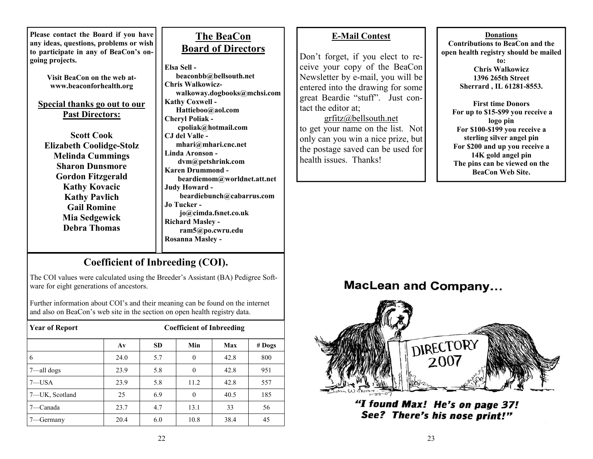**Please contact the Board if you have any ideas, questions, problems or wish to participate in any of BeaCon's ongoing projects.** 

> **Visit BeaCon on the web atwww.beaconforhealth.org**

**Special thanks go out to our Past Directors:**

**Scott Cook Elizabeth Coolidge-Stolz Melinda Cummings Sharon Dunsmore Gordon Fitzgerald Kathy Kovacic Kathy Pavlich Gail Romine Mia Sedgewick Debra Thomas** 

# **The BeaCon Board of Directors**

**Elsa Sell beaconbb@bellsouth.net Chris Walkowicz walkoway.dogbooks@mchsi.com Kathy Coxwell - Hattieboo@aol.com Cheryl Poliak cpoliak@hotmail.com CJ del Valle mhari@mhari.cnc.net Linda Aronson dvm@petshrink.com Karen Drummond beardiemom@worldnet.att.net Judy Howard beardiebunch@cabarrus.com Jo Tucker jo@cimda.fsnet.co.uk Richard Masley ram5@po.cwru.edu Rosanna Masley -** 

## **E-Mail Contest**

Don't forget, if you elect to receive your copy of the BeaCon Newsletter by e-mail, you will be entered into the drawing for some great Beardie "stuff". Just contact the editor at;

grfitz@bellsouth.net to get your name on the list. Not only can you win a nice prize, but the postage saved can be used for health issues. Thanks!

**DonationsContributions to BeaCon and the open health registry should be mailed to:** 

**Chris Walkowicz 1396 265th Street Sherrard , IL 61281-8553.** 

**First time Donors For up to \$15-\$99 you receive a logo pin For \$100-\$199 you receive a sterling silver angel pin For \$200 and up you receive a 14K gold angel pin The pins can be viewed on the BeaCon Web Site.** 

# **Coefficient of Inbreeding (COI).**

The COI values were calculated using the Breeder's Assistant (BA) Pedigree Software for eight generations of ancestors.

Further information about COI's and their meaning can be found on the internet and also on BeaCon's web site in the section on open health registry data.

| <b>Year of Report</b> | <b>Coefficient of Inbreeding</b> |           |          |      |          |
|-----------------------|----------------------------------|-----------|----------|------|----------|
|                       | $A\mathbf{v}$                    | <b>SD</b> | Min      | Max  | $#$ Dogs |
| 6                     | 24.0                             | 5.7       | $\Omega$ | 42.8 | 800      |
| $7$ —all dogs         | 23.9                             | 5.8       | $\theta$ | 42.8 | 951      |
| $7 - USA$             | 23.9                             | 5.8       | 11.2     | 42.8 | 557      |
| 7-UK, Scotland        | 25                               | 6.9       | $\theta$ | 40.5 | 185      |
| –Canada               | 23.7                             | 4.7       | 13.1     | 33   | 56       |
| -Germany              | 20.4                             | 6.0       | 10.8     | 38.4 | 45       |

**MacLean and Company...** 



"I found Max! He's on page 37! See? There's his nose print!"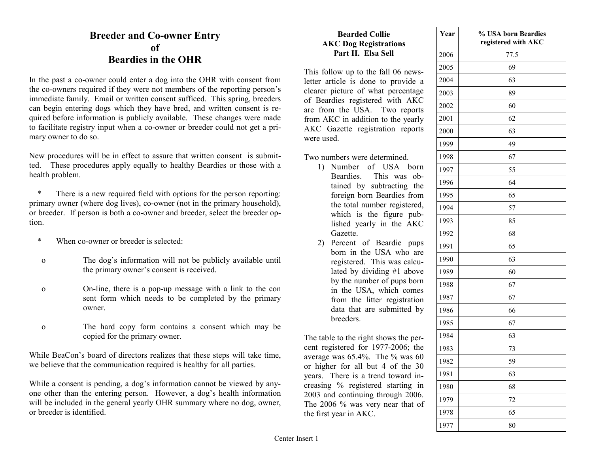## **Breeder and Co-owner Entry of Beardies in the OHR**

In the past a co-owner could enter a dog into the OHR with consent from the co-owners required if they were not members of the reporting person's immediate family. Email or written consent sufficed. This spring, breeders can begin entering dogs which they have bred, and written consent is required before information is publicly available. These changes were made to facilitate registry input when a co-owner or breeder could not get a primary owner to do so.

New procedures will be in effect to assure that written consent is submitted. These procedures apply equally to healthy Beardies or those with a health problem.

There is a new required field with options for the person reporting: primary owner (where dog lives), co-owner (not in the primary household), or breeder. If person is both a co-owner and breeder, select the breeder option.

- \* When co-owner or breeder is selected:
- o The dog's information will not be publicly available until the primary owner's consent is received.
- o On-line, there is a pop-up message with a link to the con sent form which needs to be completed by the primary owner.
- o The hard copy form contains a consent which may be copied for the primary owner.

While BeaCon's board of directors realizes that these steps will take time, we believe that the communication required is healthy for all parties.

While a consent is pending, a dog's information cannot be viewed by anyone other than the entering person. However, a dog's health information will be included in the general yearly OHR summary where no dog, owner, or breeder is identified.

## **Bearded Collie AKC Dog Registrations Part II. Elsa Sell**

This follow up to the fall 06 newsletter article is done to provide a clearer picture of what percentage of Beardies registered with AKC are from the USA. Two reports from AKC in addition to the yearly AKC Gazette registration reports were used.

Two numbers were determined.

- 1) Number of USA born Beardies. This was obtained by subtracting the foreign born Beardies from the total number registered, which is the figure published yearly in the AKC Gazette.
- 2) Percent of Beardie pups born in the USA who are registered. This was calculated by dividing #1 above by the number of pups born in the USA, which comes from the litter registration data that are submitted by breeders.

The table to the right shows the percent registered for 1977-2006; the average was 65.4%. The % was 60 or higher for all but 4 of the 30 years. There is a trend toward increasing % registered starting in 2003 and continuing through 2006. The 2006 % was very near that of the first year in AKC.

| Year | % USA born Beardies<br>registered with AKC |  |  |
|------|--------------------------------------------|--|--|
| 2006 | 77.5                                       |  |  |
| 2005 | 69                                         |  |  |
| 2004 | 63                                         |  |  |
| 2003 | 89                                         |  |  |
| 2002 | 60                                         |  |  |
| 2001 | 62                                         |  |  |
| 2000 | 63                                         |  |  |
| 1999 | 49                                         |  |  |
| 1998 | 67                                         |  |  |
| 1997 | 55                                         |  |  |
| 1996 | 64                                         |  |  |
| 1995 | 65                                         |  |  |
| 1994 | 57                                         |  |  |
| 1993 | 85                                         |  |  |
| 1992 | 68                                         |  |  |
| 1991 | 65                                         |  |  |
| 1990 | 63                                         |  |  |
| 1989 | 60                                         |  |  |
| 1988 | 67                                         |  |  |
| 1987 | 67                                         |  |  |
| 1986 | 66                                         |  |  |
| 1985 | 67                                         |  |  |
| 1984 | 63                                         |  |  |
| 1983 | 73                                         |  |  |
| 1982 | 59                                         |  |  |
| 1981 | 63                                         |  |  |
| 1980 | 68                                         |  |  |
| 1979 | 72                                         |  |  |
| 1978 | 65                                         |  |  |
| 1977 | 80                                         |  |  |